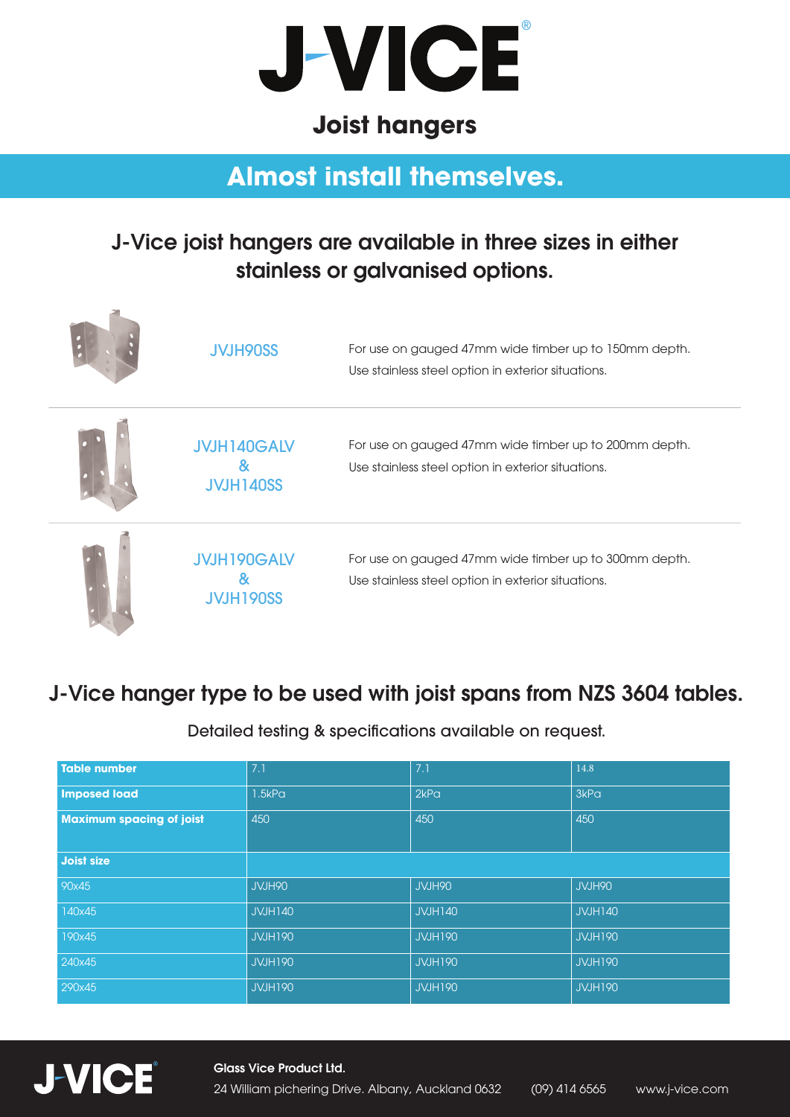

### **Joist hangers**

# **Almost install themselves.**

#### J-Vice joist hangers are available in three sizes in either stainless or galvanised options.

| <b>JVJH90SS</b>                        | For use on gauged 47mm wide timber up to 150mm depth.<br>Use stainless steel option in exterior situations. |
|----------------------------------------|-------------------------------------------------------------------------------------------------------------|
| <b>JVJH140GALV</b><br><b>JVJH140SS</b> | For use on gauged 47mm wide timber up to 200mm depth.<br>Use stainless steel option in exterior situations. |
| <b>JVJH190GALV</b><br>8<br>JVJH190SS   | For use on gauged 47mm wide timber up to 300mm depth.<br>Use stainless steel option in exterior situations. |

### J-Vice hanger type to be used with joist spans from NZS 3604 tables.

Detailed testing & specifications available on request.

| <b>Table number</b>             | 7.1            | 7.1            | 14.8           |
|---------------------------------|----------------|----------------|----------------|
| <b>Imposed load</b>             | 1.5kPa         | 2kPa           | 3kPa           |
| <b>Maximum spacing of joist</b> | 450            | 450            | 450            |
|                                 |                |                |                |
| <b>Joist size</b>               |                |                |                |
| 90x45                           | JVJH90         | JVJH90         | JVJH90         |
| 140x45                          | <b>JVJH140</b> | <b>JVJH140</b> | <b>JVJH140</b> |
| 190x45                          | <b>JVJH190</b> | <b>JVJH190</b> | <b>JVJH190</b> |
| 240x45                          | <b>JVJH190</b> | <b>JVJH190</b> | <b>JVJH190</b> |
| 290x45                          | <b>JVJH190</b> | <b>JVJH190</b> | <b>JVJH190</b> |